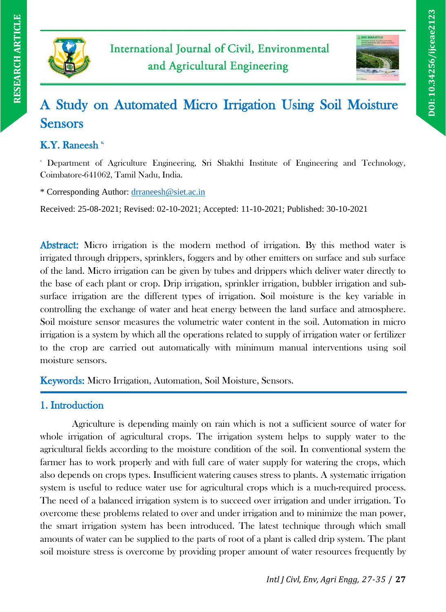



# A Study on Automated Micro Irrigation Using Soil Moisture Sensors

# K.Y. Raneesh<sup>3</sup>

<sup>a</sup> Department of Agriculture Engineering, Sri Shakthi Institute of Engineering and Technology, Coimbatore-641062, Tamil Nadu, India.

\* Corresponding Author: [drraneesh@siet.ac.in](mailto:drraneesh@siet.ac.in)

Received: 25-08-2021; Revised: 02-10-2021; Accepted: 11-10-2021; Published: 30-10-2021

Abstract: Micro irrigation is the modern method of irrigation. By this method water is irrigated through drippers, sprinklers, foggers and by other emitters on surface and sub surface of the land. Micro irrigation can be given by tubes and drippers which deliver water directly to the base of each plant or crop. Drip irrigation, sprinkler irrigation, bubbler irrigation and subsurface irrigation are the different types of irrigation. Soil moisture is the key variable in controlling the exchange of water and heat energy between the land surface and atmosphere. Soil moisture sensor measures the volumetric water content in the soil. Automation in micro irrigation is a system by which all the operations related to supply of irrigation water or fertilizer to the crop are carried out automatically with minimum manual interventions using soil moisture sensors.

Keywords: Micro Irrigation, Automation, Soil Moisture, Sensors.

# 1. Introduction

Agriculture is depending mainly on rain which is not a sufficient source of water for whole irrigation of agricultural crops. The irrigation system helps to supply water to the agricultural fields according to the moisture condition of the soil. In conventional system the farmer has to work properly and with full care of water supply for watering the crops, which also depends on crops types. Insufficient watering causes stress to plants. A systematic irrigation system is useful to reduce water use for agricultural crops which is a much-required process. The need of a balanced irrigation system is to succeed over irrigation and under irrigation. To overcome these problems related to over and under irrigation and to minimize the man power, the smart irrigation system has been introduced. The latest technique through which small amounts of water can be supplied to the parts of root of a plant is called drip system. The plant soil moisture stress is overcome by providing proper amount of water resources frequently by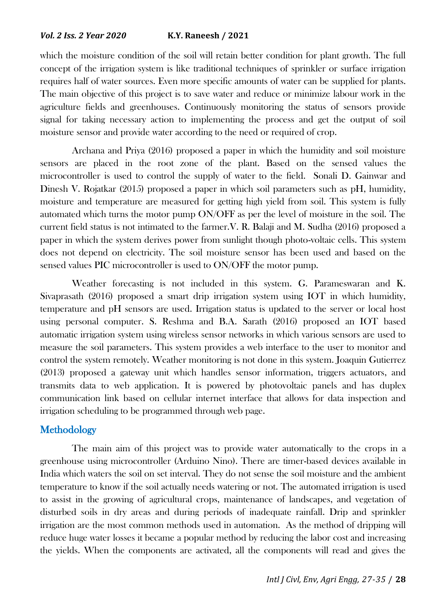which the moisture condition of the soil will retain better condition for plant growth. The full concept of the irrigation system is like traditional techniques of sprinkler or surface irrigation requires half of water sources. Even more specific amounts of water can be supplied for plants. The main objective of this project is to save water and reduce or minimize labour work in the agriculture fields and greenhouses. Continuously monitoring the status of sensors provide signal for taking necessary action to implementing the process and get the output of soil moisture sensor and provide water according to the need or required of crop.

Archana and Priya (2016) proposed a paper in which the humidity and soil moisture sensors are placed in the root zone of the plant. Based on the sensed values the microcontroller is used to control the supply of water to the field. Sonali D. Gainwar and Dinesh V. Rojatkar (2015) proposed a paper in which soil parameters such as pH, humidity, moisture and temperature are measured for getting high yield from soil. This system is fully automated which turns the motor pump ON/OFF as per the level of moisture in the soil. The current field status is not intimated to the farmer.V. R. Balaji and M. Sudha (2016) proposed a paper in which the system derives power from sunlight though photo-voltaic cells. This system does not depend on electricity. The soil moisture sensor has been used and based on the sensed values PIC microcontroller is used to ON/OFF the motor pump.

Weather forecasting is not included in this system. G. Parameswaran and K. Sivaprasath (2016) proposed a smart drip irrigation system using IOT in which humidity, temperature and pH sensors are used. Irrigation status is updated to the server or local host using personal computer. S. Reshma and B.A. Sarath (2016) proposed an IOT based automatic irrigation system using wireless sensor networks in which various sensors are used to measure the soil parameters. This system provides a web interface to the user to monitor and control the system remotely. Weather monitoring is not done in this system. Joaquin Gutierrez (2013) proposed a gateway unit which handles sensor information, triggers actuators, and transmits data to web application. It is powered by photovoltaic panels and has duplex communication link based on cellular internet interface that allows for data inspection and irrigation scheduling to be programmed through web page.

## **Methodology**

The main aim of this project was to provide water automatically to the crops in a greenhouse using microcontroller (Arduino Nino). There are timer-based devices available in India which waters the soil on set interval. They do not sense the soil moisture and the ambient temperature to know if the soil actually needs watering or not. The automated irrigation is used to assist in the growing of agricultural crops, maintenance of landscapes, and vegetation of disturbed soils in dry areas and during periods of inadequate rainfall. Drip and sprinkler irrigation are the most common methods used in automation. As the method of dripping will reduce huge water losses it became a popular method by reducing the labor cost and increasing the yields. When the components are activated, all the components will read and gives the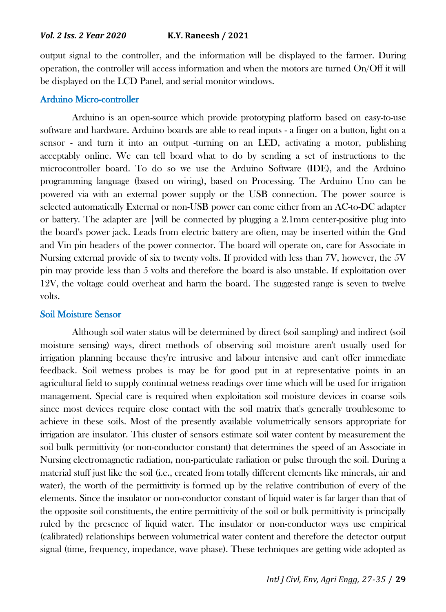output signal to the controller, and the information will be displayed to the farmer. During operation, the controller will access information and when the motors are turned On/Off it will be displayed on the LCD Panel, and serial monitor windows.

#### Arduino Micro-controller

Arduino is an open-source which provide prototyping platform based on easy-to-use software and hardware. Arduino boards are able to read inputs - a finger on a button, light on a sensor - and turn it into an output -turning on an LED, activating a motor, publishing acceptably online. We can tell board what to do by sending a set of instructions to the microcontroller board. To do so we use the Arduino Software (IDE), and the Arduino programming language (based on wiring), based on Processing. The Arduino Uno can be powered via with an external power supply or the USB connection. The power source is selected automatically External or non-USB power can come either from an AC-to-DC adapter or battery. The adapter are |will be connected by plugging a 2.1mm center-positive plug into the board's power jack. Leads from electric battery are often, may be inserted within the Gnd and Vin pin headers of the power connector. The board will operate on, care for Associate in Nursing external provide of six to twenty volts. If provided with less than 7V, however, the 5V pin may provide less than 5 volts and therefore the board is also unstable. If exploitation over 12V, the voltage could overheat and harm the board. The suggested range is seven to twelve volts.

#### Soil Moisture Sensor

Although soil water status will be determined by direct (soil sampling) and indirect (soil moisture sensing) ways, direct methods of observing soil moisture aren't usually used for irrigation planning because they're intrusive and labour intensive and can't offer immediate feedback. Soil wetness probes is may be for good put in at representative points in an agricultural field to supply continual wetness readings over time which will be used for irrigation management. Special care is required when exploitation soil moisture devices in coarse soils since most devices require close contact with the soil matrix that's generally troublesome to achieve in these soils. Most of the presently available volumetrically sensors appropriate for irrigation are insulator. This cluster of sensors estimate soil water content by measurement the soil bulk permittivity (or non-conductor constant) that determines the speed of an Associate in Nursing electromagnetic radiation, non-particulate radiation or pulse through the soil. During a material stuff just like the soil (i.e., created from totally different elements like minerals, air and water), the worth of the permittivity is formed up by the relative contribution of every of the elements. Since the insulator or non-conductor constant of liquid water is far larger than that of the opposite soil constituents, the entire permittivity of the soil or bulk permittivity is principally ruled by the presence of liquid water. The insulator or non-conductor ways use empirical (calibrated) relationships between volumetrical water content and therefore the detector output signal (time, frequency, impedance, wave phase). These techniques are getting wide adopted as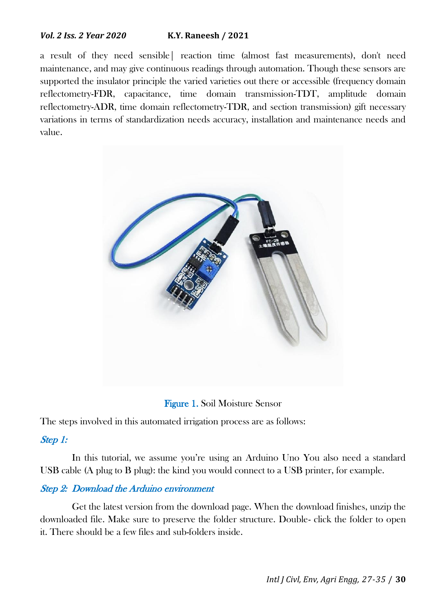a result of they need sensible| reaction time (almost fast measurements), don't need maintenance, and may give continuous readings through automation. Though these sensors are supported the insulator principle the varied varieties out there or accessible (frequency domain reflectometry-FDR, capacitance, time domain transmission-TDT, amplitude domain reflectometry-ADR, time domain reflectometry-TDR, and section transmission) gift necessary variations in terms of standardization needs accuracy, installation and maintenance needs and value.



Figure 1. Soil Moisture Sensor

The steps involved in this automated irrigation process are as follows:

#### Step 1:

In this tutorial, we assume you're using an Arduino Uno You also need a standard USB cable (A plug to B plug): the kind you would connect to a USB printer, for example.

#### Step 2: Download the Arduino environment

Get the latest version from the download page. When the download finishes, unzip the downloaded file. Make sure to preserve the folder structure. Double- click the folder to open it. There should be a few files and sub-folders inside.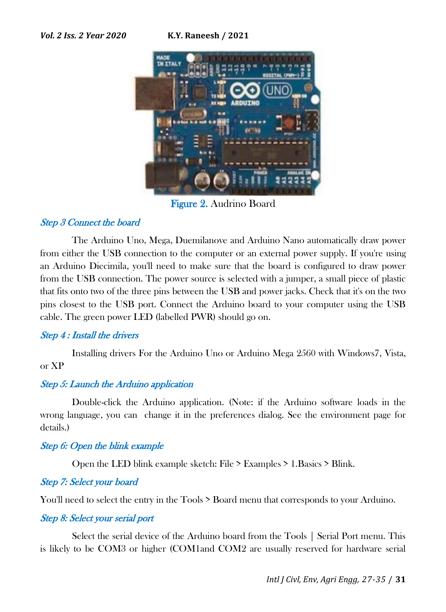

Figure 2. Audrino Board

## Step 3 Connect the board

The Arduino Uno, Mega, Duemilanove and Arduino Nano automatically draw power from either the USB connection to the computer or an external power supply. If you're using an Arduino Diecimila, you'll need to make sure that the board is configured to draw power from the USB connection. The power source is selected with a jumper, a small piece of plastic that fits onto two of the three pins between the USB and power jacks. Check that it's on the two pins closest to the USB port. Connect the Arduino board to your computer using the USB cable. The green power LED (labelled PWR) should go on.

#### Step 4 : Install the drivers

Installing drivers For the Arduino Uno or Arduino Mega 2560 with Windows7, Vista, or XP

#### Step 5: Launch the Arduino application

Double-click the Arduino application. (Note: if the Arduino software loads in the wrong language, you can change it in the preferences dialog. See the environment page for details.)

#### Step 6: Open the blink example

Open the LED blink example sketch: File > Examples > 1.Basics > Blink.

#### Step 7: Select your board

You'll need to select the entry in the Tools  $>$  Board menu that corresponds to your Arduino.

#### Step 8: Select your serial port

Select the serial device of the Arduino board from the Tools | Serial Port menu. This is likely to be COM3 or higher (COM1and COM2 are usually reserved for hardware serial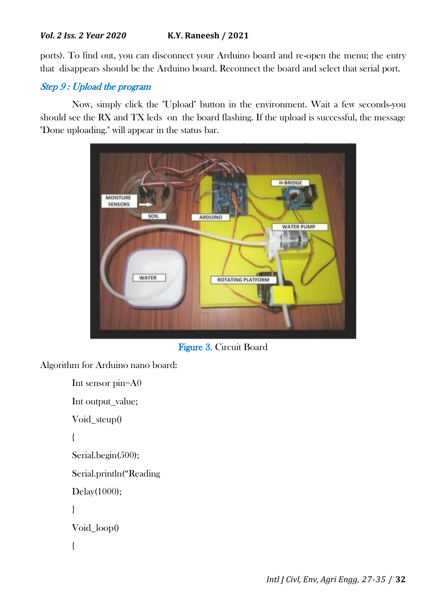ports). To find out, you can disconnect your Arduino board and re-open the menu; the entry that disappears should be the Arduino board. Reconnect the board and select that serial port.

# Step 9 : Upload the program

Now, simply click the "Upload" button in the environment. Wait a few seconds-you should see the RX and TX leds on the board flashing. If the upload is successful, the message "Done uploading." will appear in the status bar.



Figure 3. Circuit Board

Algorithm for Arduino nano board:

```
Int sensor pin=A0
Int output_value;
Void_steup()
{
Serial.begin(500);
Serial.println("Reading
Delay(1000); 
}
Void_loop()
{
```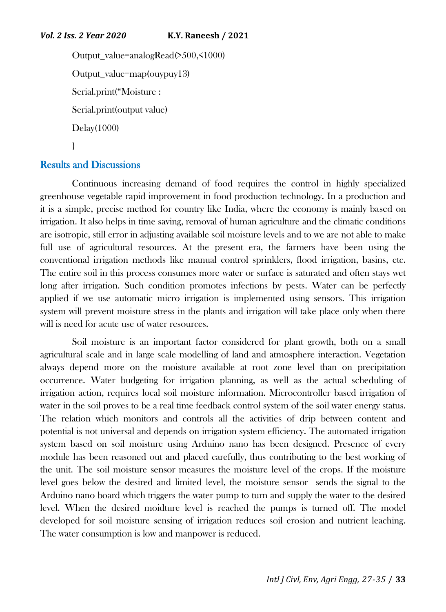```
Output_value=analogRead(>500,<1000)
Output_value=map(ouypuy13)
Serial.print("Moisture :
Serial.print(output value)
Delay(1000)
}
```
# Results and Discussions

Continuous increasing demand of food requires the control in highly specialized greenhouse vegetable rapid improvement in food production technology. In a production and it is a simple, precise method for country like India, where the economy is mainly based on irrigation. It also helps in time saving, removal of human agriculture and the climatic conditions are isotropic, still error in adjusting available soil moisture levels and to we are not able to make full use of agricultural resources. At the present era, the farmers have been using the conventional irrigation methods like manual control sprinklers, flood irrigation, basins, etc. The entire soil in this process consumes more water or surface is saturated and often stays wet long after irrigation. Such condition promotes infections by pests. Water can be perfectly applied if we use automatic micro irrigation is implemented using sensors. This irrigation system will prevent moisture stress in the plants and irrigation will take place only when there will is need for acute use of water resources.

Soil moisture is an important factor considered for plant growth, both on a small agricultural scale and in large scale modelling of land and atmosphere interaction. Vegetation always depend more on the moisture available at root zone level than on precipitation occurrence. Water budgeting for irrigation planning, as well as the actual scheduling of irrigation action, requires local soil moisture information. Microcontroller based irrigation of water in the soil proves to be a real time feedback control system of the soil water energy status. The relation which monitors and controls all the activities of drip between content and potential is not universal and depends on irrigation system efficiency. The automated irrigation system based on soil moisture using Arduino nano has been designed. Presence of every module has been reasoned out and placed carefully, thus contributing to the best working of the unit. The soil moisture sensor measures the moisture level of the crops. If the moisture level goes below the desired and limited level, the moisture sensor sends the signal to the Arduino nano board which triggers the water pump to turn and supply the water to the desired level. When the desired moidture level is reached the pumps is turned off. The model developed for soil moisture sensing of irrigation reduces soil erosion and nutrient leaching. The water consumption is low and manpower is reduced.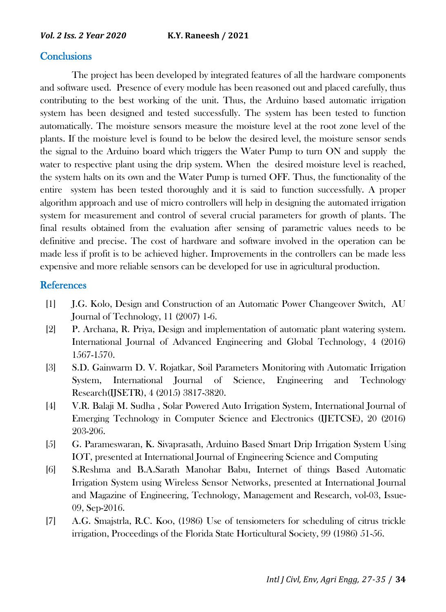## **Conclusions**

The project has been developed by integrated features of all the hardware components and software used. Presence of every module has been reasoned out and placed carefully, thus contributing to the best working of the unit. Thus, the Arduino based automatic irrigation system has been designed and tested successfully. The system has been tested to function automatically. The moisture sensors measure the moisture level at the root zone level of the plants. If the moisture level is found to be below the desired level, the moisture sensor sends the signal to the Arduino board which triggers the Water Pump to turn ON and supply the water to respective plant using the drip system. When the desired moisture level is reached, the system halts on its own and the Water Pump is turned OFF. Thus, the functionality of the entire system has been tested thoroughly and it is said to function successfully. A proper algorithm approach and use of micro controllers will help in designing the automated irrigation system for measurement and control of several crucial parameters for growth of plants. The final results obtained from the evaluation after sensing of parametric values needs to be definitive and precise. The cost of hardware and software involved in the operation can be made less if profit is to be achieved higher. Improvements in the controllers can be made less expensive and more reliable sensors can be developed for use in agricultural production.

#### References

- [1] J.G. Kolo, Design and Construction of an Automatic Power Changeover Switch, AU Journal of Technology, 11 (2007) 1-6.
- [2] P. Archana, R. Priya, Design and implementation of automatic plant watering system. International Journal of Advanced Engineering and Global Technology, 4 (2016) 1567-1570.
- [3] S.D. Gainwarm D. V. Rojatkar, Soil Parameters Monitoring with Automatic Irrigation System, International Journal of Science, Engineering and Technology Research(IJSETR), 4 (2015) 3817-3820.
- [4] V.R. Balaji M. Sudha , Solar Powered Auto Irrigation System, International Journal of Emerging Technology in Computer Science and Electronics (IJETCSE), 20 (2016) 203-206.
- [5] G. Parameswaran, K. Sivaprasath, Arduino Based Smart Drip Irrigation System Using IOT, presented at International Journal of Engineering Science and Computing
- [6] S.Reshma and B.A.Sarath Manohar Babu, Internet of things Based Automatic Irrigation System using Wireless Sensor Networks, presented at International Journal and Magazine of Engineering, Technology, Management and Research, vol-03, Issue-09, Sep-2016.
- [7] A.G. Smajstrla, R.C. Koo, (1986) Use of tensiometers for scheduling of citrus trickle irrigation, Proceedings of the Florida State Horticultural Society, 99 (1986) 51-56.